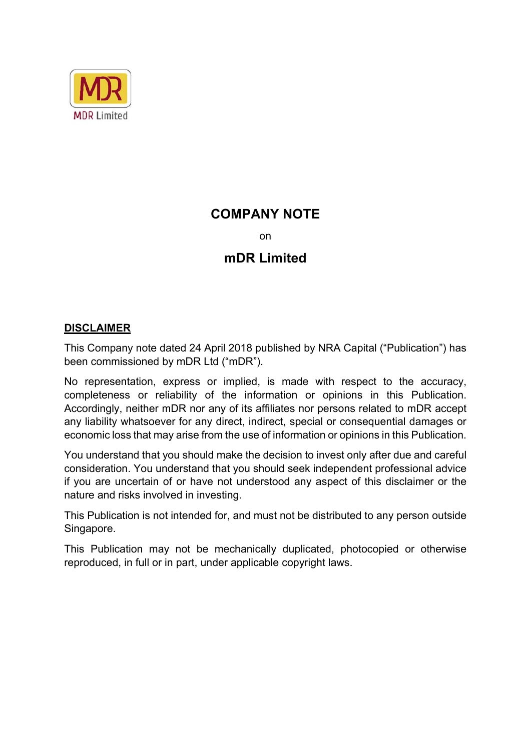

### **COMPANY NOTE**

on

### **mDR Limited**

### **DISCLAIMER**

This Company note dated 24 April 2018 published by NRA Capital ("Publication") has been commissioned by mDR Ltd ("mDR").

No representation, express or implied, is made with respect to the accuracy, completeness or reliability of the information or opinions in this Publication. Accordingly, neither mDR nor any of its affiliates nor persons related to mDR accept any liability whatsoever for any direct, indirect, special or consequential damages or economic loss that may arise from the use of information or opinions in this Publication.

You understand that you should make the decision to invest only after due and careful consideration. You understand that you should seek independent professional advice if you are uncertain of or have not understood any aspect of this disclaimer or the nature and risks involved in investing.

This Publication is not intended for, and must not be distributed to any person outside Singapore.

This Publication may not be mechanically duplicated, photocopied or otherwise reproduced, in full or in part, under applicable copyright laws.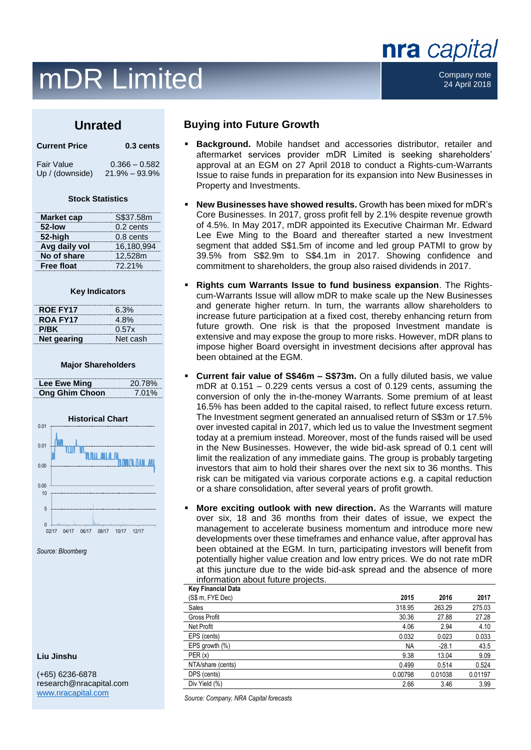### $mDR$  Limited  $\begin{array}{ccc} & & \text{company note} \ & \text{company note} \end{array}$

### **Unrated**

| <b>Current Price</b> | $0.3$ cents     |  |
|----------------------|-----------------|--|
| <b>Fair Value</b>    | $0.366 - 0.582$ |  |

Up / (downside) 21.9% – 93.9%

#### **Stock Statistics**

| <b>Market cap</b> | S\$37.58m   |
|-------------------|-------------|
| 52-low            | $0.2$ cents |
| 52-high           | 0.8 cents   |
| Avg daily vol     | 16,180,994  |
| No of share       | 12,528m     |
| <b>Free float</b> | 72.21%      |

#### **Key Indicators**

| <b>ROE FY17</b> | 6.3%     |
|-----------------|----------|
| <b>ROA FY17</b> | 4.8%     |
| P/BK            | 0.57x    |
| Net gearing     | Net cash |

#### **Major Shareholders**

| Lee Ewe Ming          | 20.78% |
|-----------------------|--------|
| <b>Ong Ghim Choon</b> | 7.01%  |



*Source: Bloomberg*

#### **Liu Jinshu**

(+65) 6236-6878 research@nracapital.com [www.nracapital.com](http://www.nracapital.com/)

#### **Buying into Future Growth**

- **Background.** Mobile handset and accessories distributor, retailer and aftermarket services provider mDR Limited is seeking shareholders' approval at an EGM on 27 April 2018 to conduct a Rights-cum-Warrants Issue to raise funds in preparation for its expansion into New Businesses in Property and Investments.
- **New Businesses have showed results.** Growth has been mixed for mDR's Core Businesses. In 2017, gross profit fell by 2.1% despite revenue growth of 4.5%. In May 2017, mDR appointed its Executive Chairman Mr. Edward Lee Ewe Ming to the Board and thereafter started a new Investment segment that added S\$1.5m of income and led group PATMI to grow by 39.5% from S\$2.9m to S\$4.1m in 2017. Showing confidence and commitment to shareholders, the group also raised dividends in 2017.
- **Rights cum Warrants Issue to fund business expansion**. The Rightscum-Warrants Issue will allow mDR to make scale up the New Businesses and generate higher return. In turn, the warrants allow shareholders to increase future participation at a fixed cost, thereby enhancing return from future growth. One risk is that the proposed Investment mandate is extensive and may expose the group to more risks. However, mDR plans to impose higher Board oversight in investment decisions after approval has been obtained at the EGM.
- **Current fair value of S\$46m S\$73m.** On a fully diluted basis, we value mDR at 0.151 – 0.229 cents versus a cost of 0.129 cents, assuming the conversion of only the in-the-money Warrants. Some premium of at least 16.5% has been added to the capital raised, to reflect future excess return. The Investment segment generated an annualised return of S\$3m or 17.5% over invested capital in 2017, which led us to value the Investment segment today at a premium instead. Moreover, most of the funds raised will be used in the New Businesses. However, the wide bid-ask spread of 0.1 cent will limit the realization of any immediate gains. The group is probably targeting investors that aim to hold their shares over the next six to 36 months. This risk can be mitigated via various corporate actions e.g. a capital reduction or a share consolidation, after several years of profit growth.
- **More exciting outlook with new direction.** As the Warrants will mature over six, 18 and 36 months from their dates of issue, we expect the management to accelerate business momentum and introduce more new developments over these timeframes and enhance value, after approval has been obtained at the EGM. In turn, participating investors will benefit from potentially higher value creation and low entry prices. We do not rate mDR at this juncture due to the wide bid-ask spread and the absence of more information about future projects.

| <b>Key Financial Data</b> |           |         |         |
|---------------------------|-----------|---------|---------|
| (S\$ m, FYE Dec)          | 2015      | 2016    | 2017    |
| Sales                     | 318.95    | 263.29  | 275.03  |
| <b>Gross Profit</b>       | 30.36     | 27.88   | 27.28   |
| Net Profit                | 4.06      | 2.94    | 4.10    |
| EPS (cents)               | 0.032     | 0.023   | 0.033   |
| EPS growth $(\%)$         | <b>NA</b> | $-28.1$ | 43.5    |
| PER(x)                    | 9.38      | 13.04   | 9.09    |
| NTA/share (cents)         | 0.499     | 0.514   | 0.524   |
| DPS (cents)               | 0.00798   | 0.01038 | 0.01197 |
| Div Yield (%)             | 2.66      | 3.46    | 3.99    |
|                           |           |         |         |

*Source: Company, NRA Capital forecasts*

### nra capital

24 April 2018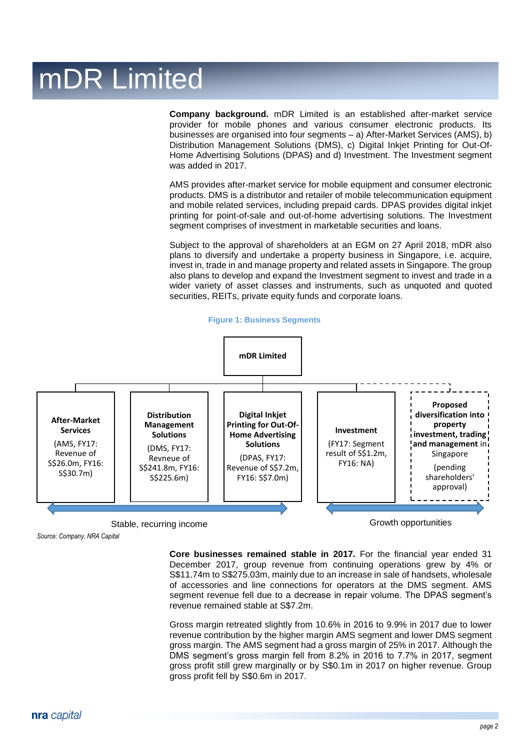**Company background.** mDR Limited is an established after-market service provider for mobile phones and various consumer electronic products. Its businesses are organised into four segments – a) After-Market Services (AMS), b) Distribution Management Solutions (DMS), c) Digital Inkjet Printing for Out-Of-Home Advertising Solutions (DPAS) and d) Investment. The Investment segment was added in 2017.

AMS provides after-market service for mobile equipment and consumer electronic products. DMS is a distributor and retailer of mobile telecommunication equipment and mobile related services, including prepaid cards. DPAS provides digital inkjet printing for point-of-sale and out-of-home advertising solutions. The Investment segment comprises of investment in marketable securities and loans.

Subject to the approval of shareholders at an EGM on 27 April 2018, mDR also plans to diversify and undertake a property business in Singapore, i.e. acquire, invest in, trade in and manage property and related assets in Singapore. The group also plans to develop and expand the Investment segment to invest and trade in a wider variety of asset classes and instruments, such as unquoted and quoted securities, REITs, private equity funds and corporate loans.







*Source: Company, NRA Capital*

**Core businesses remained stable in 2017.** For the financial year ended 31 December 2017, group revenue from continuing operations grew by 4% or S\$11.74m to S\$275.03m, mainly due to an increase in sale of handsets, wholesale of accessories and line connections for operators at the DMS segment. AMS segment revenue fell due to a decrease in repair volume. The DPAS segment's revenue remained stable at S\$7.2m.

Gross margin retreated slightly from 10.6% in 2016 to 9.9% in 2017 due to lower revenue contribution by the higher margin AMS segment and lower DMS segment gross margin. The AMS segment had a gross margin of 25% in 2017. Although the DMS segment's gross margin fell from 8.2% in 2016 to 7.7% in 2017, segment gross profit still grew marginally or by S\$0.1m in 2017 on higher revenue. Group gross profit fell by S\$0.6m in 2017.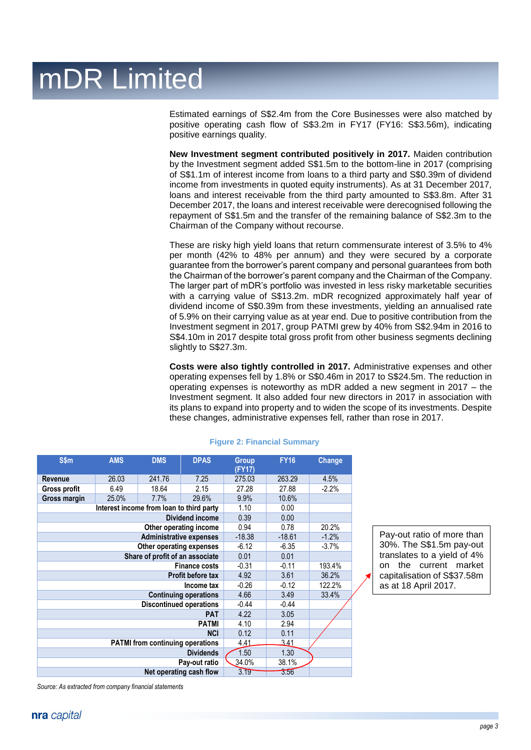Estimated earnings of S\$2.4m from the Core Businesses were also matched by positive operating cash flow of S\$3.2m in FY17 (FY16: S\$3.56m), indicating positive earnings quality.

**New Investment segment contributed positively in 2017.** Maiden contribution by the Investment segment added S\$1.5m to the bottom-line in 2017 (comprising of S\$1.1m of interest income from loans to a third party and S\$0.39m of dividend income from investments in quoted equity instruments). As at 31 December 2017, loans and interest receivable from the third party amounted to S\$3.8m. After 31 December 2017, the loans and interest receivable were derecognised following the repayment of S\$1.5m and the transfer of the remaining balance of S\$2.3m to the Chairman of the Company without recourse.

These are risky high yield loans that return commensurate interest of 3.5% to 4% per month (42% to 48% per annum) and they were secured by a corporate guarantee from the borrower's parent company and personal guarantees from both the Chairman of the borrower's parent company and the Chairman of the Company. The larger part of mDR's portfolio was invested in less risky marketable securities with a carrying value of S\$13.2m. mDR recognized approximately half year of dividend income of S\$0.39m from these investments, yielding an annualised rate of 5.9% on their carrying value as at year end. Due to positive contribution from the Investment segment in 2017, group PATMI grew by 40% from S\$2.94m in 2016 to S\$4.10m in 2017 despite total gross profit from other business segments declining slightly to S\$27.3m.

**Costs were also tightly controlled in 2017.** Administrative expenses and other operating expenses fell by 1.8% or S\$0.46m in 2017 to S\$24.5m. The reduction in operating expenses is noteworthy as mDR added a new segment in 2017 – the Investment segment. It also added four new directors in 2017 in association with its plans to expand into property and to widen the scope of its investments. Despite these changes, administrative expenses fell, rather than rose in 2017.

| S\$m                                     | <b>AMS</b> | <b>DMS</b>                              | <b>DPAS</b>             | <b>Group</b><br>(FY17) | <b>FY16</b> | <b>Change</b> |
|------------------------------------------|------------|-----------------------------------------|-------------------------|------------------------|-------------|---------------|
| <b>Revenue</b>                           | 26.03      | 241.76                                  | 7.25                    | 275.03                 | 263.29      | 4.5%          |
| Gross profit                             | 6.49       | 18.64                                   | 2.15                    | 27.28                  | 27.88       | $-2.2%$       |
| Gross margin                             | 25.0%      | 7.7%                                    | 29.6%                   | 9.9%                   | 10.6%       |               |
| Interest income from loan to third party |            |                                         |                         | 1.10                   | 0.00        |               |
|                                          |            |                                         | <b>Dividend income</b>  | 0.39                   | 0.00        |               |
|                                          |            |                                         | Other operating income  | 0.94                   | 0.78        | 20.2%         |
|                                          |            | <b>Administrative expenses</b>          |                         | $-18.38$               | $-18.61$    | $-1.2%$       |
|                                          |            | Other operating expenses                |                         | $-6.12$                | $-6.35$     | $-3.7%$       |
|                                          |            | Share of profit of an associate         |                         | 0.01                   | 0.01        |               |
| <b>Finance costs</b>                     |            |                                         | $-0.31$                 | $-0.11$                | 193.4%      |               |
| Profit before tax                        |            |                                         | 4.92                    | 3.61                   | 36.2%       |               |
| Income tax                               |            |                                         | $-0.26$                 | $-0.12$                | 122.2%      |               |
| <b>Continuing operations</b>             |            | 4.66                                    | 3.49                    | 33.4%                  |             |               |
|                                          |            | <b>Discontinued operations</b>          |                         | $-0.44$                | $-0.44$     |               |
|                                          |            |                                         | <b>PAT</b>              | 4.22                   | 3.05        |               |
|                                          |            |                                         | <b>PATMI</b>            | 4.10                   | 2.94        |               |
|                                          |            |                                         | <b>NCI</b>              | 0.12                   | 0.11        |               |
|                                          |            | <b>PATMI from continuing operations</b> |                         | 4.41                   | 341         |               |
|                                          |            |                                         | <b>Dividends</b>        | 1.50                   | 1.30        |               |
|                                          |            |                                         | Pay-out ratio           | 34.0%                  | 38.1%       |               |
|                                          |            |                                         | Net operating cash flow | 3.19                   | 3.56        |               |

#### **Figure 2: Financial Summary**

Pay-out ratio of more than 30%. The S\$1.5m pay-out translates to a yield of 4% on the current market capitalisation of S\$37.58m as at 18 April 2017.

*Source: As extracted from company financial statements*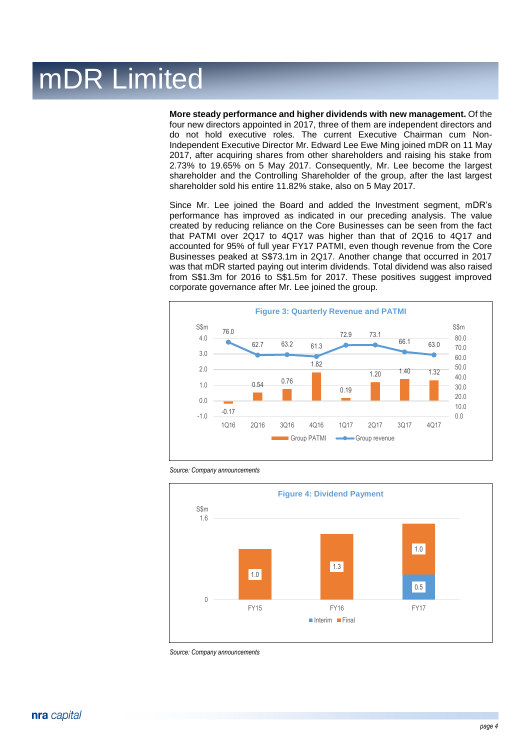**More steady performance and higher dividends with new management.** Of the four new directors appointed in 2017, three of them are independent directors and do not hold executive roles. The current Executive Chairman cum Non-Independent Executive Director Mr. Edward Lee Ewe Ming joined mDR on 11 May 2017, after acquiring shares from other shareholders and raising his stake from 2.73% to 19.65% on 5 May 2017. Consequently, Mr. Lee become the largest shareholder and the Controlling Shareholder of the group, after the last largest shareholder sold his entire 11.82% stake, also on 5 May 2017.

Since Mr. Lee joined the Board and added the Investment segment, mDR's performance has improved as indicated in our preceding analysis. The value created by reducing reliance on the Core Businesses can be seen from the fact that PATMI over 2Q17 to 4Q17 was higher than that of 2Q16 to 4Q17 and accounted for 95% of full year FY17 PATMI, even though revenue from the Core Businesses peaked at S\$73.1m in 2Q17. Another change that occurred in 2017 was that mDR started paying out interim dividends. Total dividend was also raised from S\$1.3m for 2016 to S\$1.5m for 2017. These positives suggest improved corporate governance after Mr. Lee joined the group.



*Source: Company announcements*



*Source: Company announcements*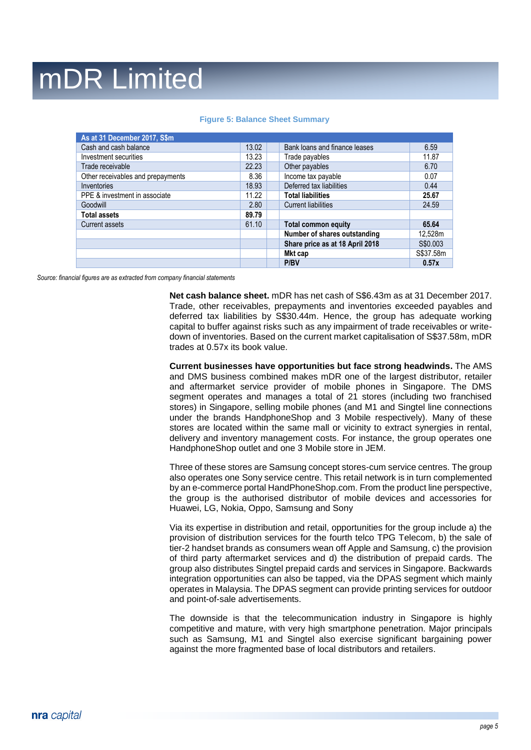| As at 31 December 2017, S\$m      |       |                                 |           |
|-----------------------------------|-------|---------------------------------|-----------|
| Cash and cash balance             | 13.02 | Bank loans and finance leases   | 6.59      |
| Investment securities             | 13.23 | Trade payables                  | 11.87     |
| Trade receivable                  | 22.23 | Other payables                  | 6.70      |
| Other receivables and prepayments | 8.36  | Income tax payable              | 0.07      |
| Inventories                       | 18.93 | Deferred tax liabilities        | 0.44      |
| PPE & investment in associate     | 11.22 | <b>Total liabilities</b>        | 25.67     |
| Goodwill                          | 2.80  | <b>Current liabilities</b>      | 24.59     |
| <b>Total assets</b>               | 89.79 |                                 |           |
| Current assets                    | 61.10 | <b>Total common equity</b>      | 65.64     |
|                                   |       | Number of shares outstanding    | 12,528m   |
|                                   |       | Share price as at 18 April 2018 | S\$0.003  |
|                                   |       | Mkt cap                         | S\$37.58m |
|                                   |       | P/BV                            | 0.57x     |

#### **Figure 5: Balance Sheet Summary**

*Source: financial figures are as extracted from company financial statements*

**Net cash balance sheet.** mDR has net cash of S\$6.43m as at 31 December 2017. Trade, other receivables, prepayments and inventories exceeded payables and deferred tax liabilities by S\$30.44m. Hence, the group has adequate working capital to buffer against risks such as any impairment of trade receivables or writedown of inventories. Based on the current market capitalisation of S\$37.58m, mDR trades at 0.57x its book value.

**Current businesses have opportunities but face strong headwinds.** The AMS and DMS business combined makes mDR one of the largest distributor, retailer and aftermarket service provider of mobile phones in Singapore. The DMS segment operates and manages a total of 21 stores (including two franchised stores) in Singapore, selling mobile phones (and M1 and Singtel line connections under the brands HandphoneShop and 3 Mobile respectively). Many of these stores are located within the same mall or vicinity to extract synergies in rental, delivery and inventory management costs. For instance, the group operates one HandphoneShop outlet and one 3 Mobile store in JEM.

Three of these stores are Samsung concept stores-cum service centres. The group also operates one Sony service centre. This retail network is in turn complemented by an e-commerce portal HandPhoneShop.com. From the product line perspective, the group is the authorised distributor of mobile devices and accessories for Huawei, LG, Nokia, Oppo, Samsung and Sony

Via its expertise in distribution and retail, opportunities for the group include a) the provision of distribution services for the fourth telco TPG Telecom, b) the sale of tier-2 handset brands as consumers wean off Apple and Samsung, c) the provision of third party aftermarket services and d) the distribution of prepaid cards. The group also distributes Singtel prepaid cards and services in Singapore. Backwards integration opportunities can also be tapped, via the DPAS segment which mainly operates in Malaysia. The DPAS segment can provide printing services for outdoor and point-of-sale advertisements.

The downside is that the telecommunication industry in Singapore is highly competitive and mature, with very high smartphone penetration. Major principals such as Samsung, M1 and Singtel also exercise significant bargaining power against the more fragmented base of local distributors and retailers.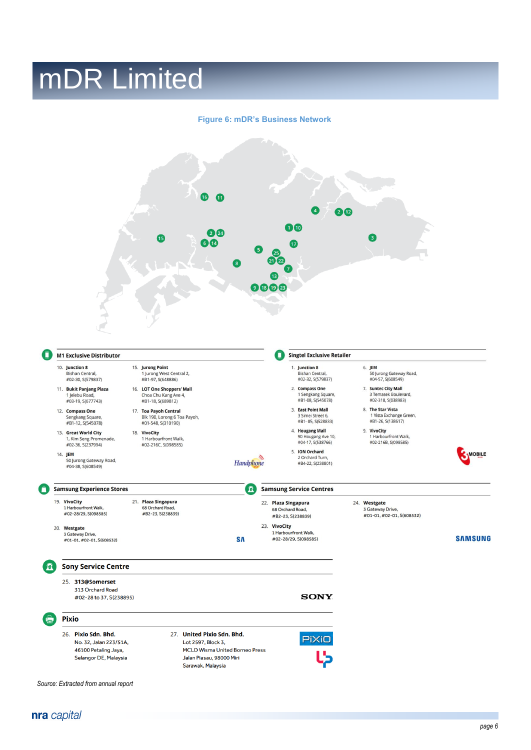#### **Figure 6: mDR's Business Network**

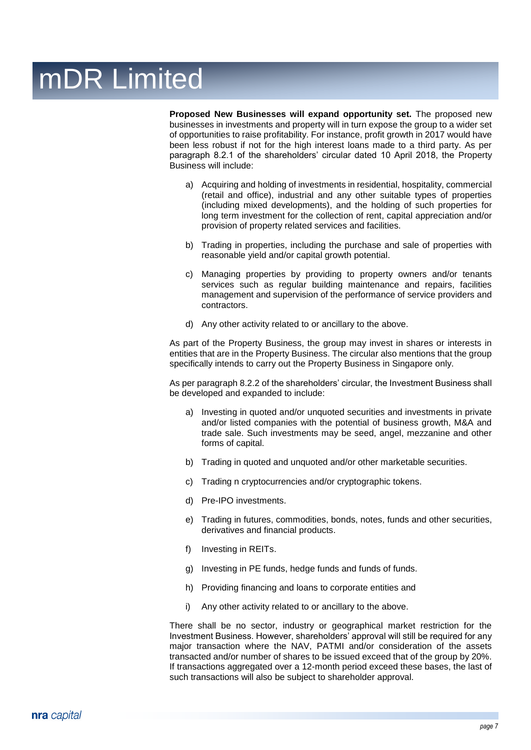**Proposed New Businesses will expand opportunity set.** The proposed new businesses in investments and property will in turn expose the group to a wider set of opportunities to raise profitability. For instance, profit growth in 2017 would have been less robust if not for the high interest loans made to a third party. As per paragraph 8.2.1 of the shareholders' circular dated 10 April 2018, the Property Business will include:

- a) Acquiring and holding of investments in residential, hospitality, commercial (retail and office), industrial and any other suitable types of properties (including mixed developments), and the holding of such properties for long term investment for the collection of rent, capital appreciation and/or provision of property related services and facilities.
- b) Trading in properties, including the purchase and sale of properties with reasonable yield and/or capital growth potential.
- c) Managing properties by providing to property owners and/or tenants services such as regular building maintenance and repairs, facilities management and supervision of the performance of service providers and contractors.
- d) Any other activity related to or ancillary to the above.

As part of the Property Business, the group may invest in shares or interests in entities that are in the Property Business. The circular also mentions that the group specifically intends to carry out the Property Business in Singapore only.

As per paragraph 8.2.2 of the shareholders' circular, the Investment Business shall be developed and expanded to include:

- a) Investing in quoted and/or unquoted securities and investments in private and/or listed companies with the potential of business growth, M&A and trade sale. Such investments may be seed, angel, mezzanine and other forms of capital.
- b) Trading in quoted and unquoted and/or other marketable securities.
- c) Trading n cryptocurrencies and/or cryptographic tokens.
- d) Pre-IPO investments.
- e) Trading in futures, commodities, bonds, notes, funds and other securities, derivatives and financial products.
- f) Investing in REITs.
- g) Investing in PE funds, hedge funds and funds of funds.
- h) Providing financing and loans to corporate entities and
- i) Any other activity related to or ancillary to the above.

There shall be no sector, industry or geographical market restriction for the Investment Business. However, shareholders' approval will still be required for any major transaction where the NAV, PATMI and/or consideration of the assets transacted and/or number of shares to be issued exceed that of the group by 20%. If transactions aggregated over a 12-month period exceed these bases, the last of such transactions will also be subject to shareholder approval.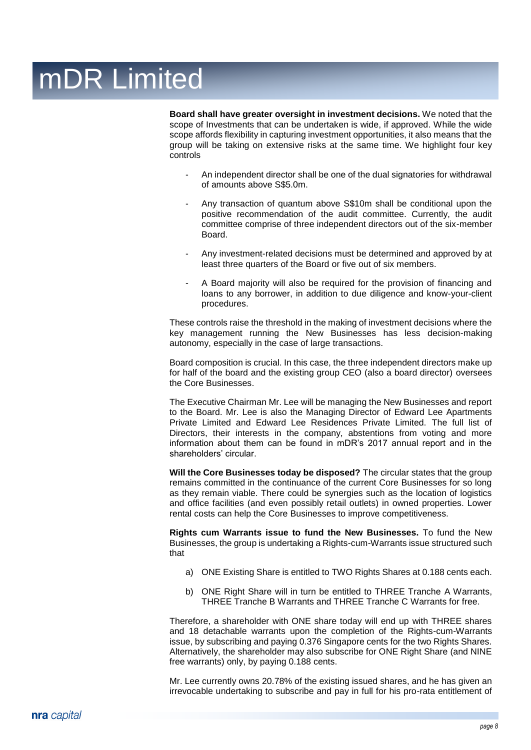**Board shall have greater oversight in investment decisions.** We noted that the scope of Investments that can be undertaken is wide, if approved. While the wide scope affords flexibility in capturing investment opportunities, it also means that the group will be taking on extensive risks at the same time. We highlight four key controls

- An independent director shall be one of the dual signatories for withdrawal of amounts above S\$5.0m.
- Any transaction of quantum above S\$10m shall be conditional upon the positive recommendation of the audit committee. Currently, the audit committee comprise of three independent directors out of the six-member Board.
- Any investment-related decisions must be determined and approved by at least three quarters of the Board or five out of six members.
- A Board majority will also be required for the provision of financing and loans to any borrower, in addition to due diligence and know-your-client procedures.

These controls raise the threshold in the making of investment decisions where the key management running the New Businesses has less decision-making autonomy, especially in the case of large transactions.

Board composition is crucial. In this case, the three independent directors make up for half of the board and the existing group CEO (also a board director) oversees the Core Businesses.

The Executive Chairman Mr. Lee will be managing the New Businesses and report to the Board. Mr. Lee is also the Managing Director of Edward Lee Apartments Private Limited and Edward Lee Residences Private Limited. The full list of Directors, their interests in the company, abstentions from voting and more information about them can be found in mDR's 2017 annual report and in the shareholders' circular.

**Will the Core Businesses today be disposed?** The circular states that the group remains committed in the continuance of the current Core Businesses for so long as they remain viable. There could be synergies such as the location of logistics and office facilities (and even possibly retail outlets) in owned properties. Lower rental costs can help the Core Businesses to improve competitiveness.

**Rights cum Warrants issue to fund the New Businesses.** To fund the New Businesses, the group is undertaking a Rights-cum-Warrants issue structured such that

- a) ONE Existing Share is entitled to TWO Rights Shares at 0.188 cents each.
- b) ONE Right Share will in turn be entitled to THREE Tranche A Warrants, THREE Tranche B Warrants and THREE Tranche C Warrants for free.

Therefore, a shareholder with ONE share today will end up with THREE shares and 18 detachable warrants upon the completion of the Rights-cum-Warrants issue, by subscribing and paying 0.376 Singapore cents for the two Rights Shares. Alternatively, the shareholder may also subscribe for ONE Right Share (and NINE free warrants) only, by paying 0.188 cents.

Mr. Lee currently owns 20.78% of the existing issued shares, and he has given an irrevocable undertaking to subscribe and pay in full for his pro-rata entitlement of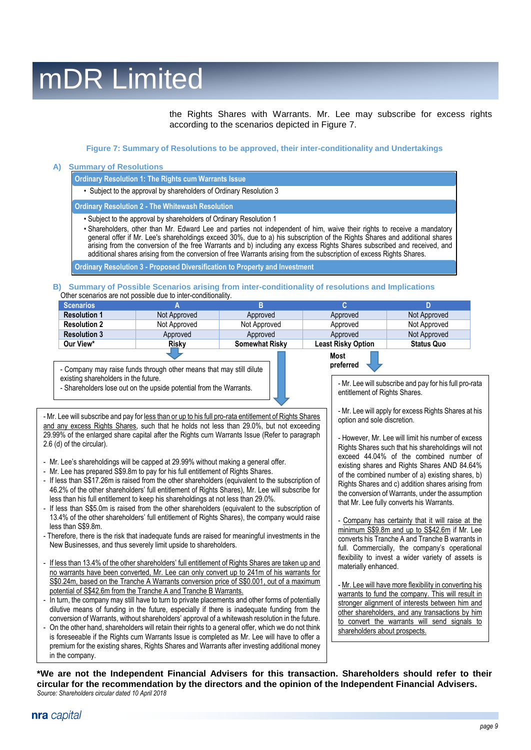the Rights Shares with Warrants. Mr. Lee may subscribe for excess rights according to the scenarios depicted in Figure 7.

> **preferred \***

#### **Figure 7: Summary of Resolutions to be approved, their inter-conditionality and Undertakings**

#### **A) Summary of Resolutions**

**Ordinary Resolution 1: The Rights cum Warrants Issue** 

• Subject to the approval by shareholders of Ordinary Resolution 3

**Ordinary Resolution 2 - The Whitewash Resolution**

- Subject to the approval by shareholders of Ordinary Resolution 1
- Shareholders, other than Mr. Edward Lee and parties not independent of him, waive their rights to receive a mandatory general offer if Mr. Lee's shareholdings exceed 30%, due to a) his subscription of the Rights Shares and additional shares arising from the conversion of the free Warrants and b) including any excess Rights Shares subscribed and received, and additional shares arising from the conversion of free Warrants arising from the subscription of excess Rights Shares.

**Ordinary Resolution 3 - Proposed Diversification to Property and Investment**

**B) Summary of Possible Scenarios arising from inter-conditionality of resolutions and Implications** Other scenarios are not possible due to inter-conditionality.

| <b>Scenarios</b>    |              |                       |                           |                   |
|---------------------|--------------|-----------------------|---------------------------|-------------------|
| <b>Resolution 1</b> | Not Approved | Approved              | Approved                  | Not Approved      |
| <b>Resolution 2</b> | Not Approved | Not Approved          | Approved                  | Not Approved      |
| <b>Resolution 3</b> | Approved     | Approved              | Approved                  | Not Approved      |
| Our View*           | <b>Risky</b> | <b>Somewhat Risky</b> | <b>Least Risky Option</b> | <b>Status Quo</b> |
|                     |              |                       | Most                      |                   |

- Company may raise funds through other means that may still dilute existing shareholders in the future.



- Mr. Lee will subscribe and pay for less than or up to his full pro-rata entitlement of Rights Shares and any excess Rights Shares, such that he holds not less than 29.0%, but not exceeding 29.99% of the enlarged share capital after the Rights cum Warrants Issue (Refer to paragraph 2.6 (d) of the circular).

- Mr. Lee's shareholdings will be capped at 29.99% without making a general offer.
- Mr. Lee has prepared S\$9.8m to pay for his full entitlement of Rights Shares.
- If less than S\$17.26m is raised from the other shareholders (equivalent to the subscription of 46.2% of the other shareholders' full entitlement of Rights Shares), Mr. Lee will subscribe for less than his full entitlement to keep his shareholdings at not less than 29.0%.
- If less than S\$5.0m is raised from the other shareholders (equivalent to the subscription of 13.4% of the other shareholders' full entitlement of Rights Shares), the company would raise less than S\$9.8m.
- Therefore, there is the risk that inadequate funds are raised for meaningful investments in the New Businesses, and thus severely limit upside to shareholders.
- If less than 13.4% of the other shareholders' full entitlement of Rights Shares are taken up and no warrants have been converted, Mr. Lee can only convert up to 241m of his warrants for S\$0.24m, based on the Tranche A Warrants conversion price of S\$0.001, out of a maximum potential of S\$42.6m from the Tranche A and Tranche B Warrants.
- In turn, the company may still have to turn to private placements and other forms of potentially dilutive means of funding in the future, especially if there is inadequate funding from the conversion of Warrants, without shareholders' approval of a whitewash resolution in the future.
- On the other hand, shareholders will retain their rights to a general offer, which we do not think is foreseeable if the Rights cum Warrants Issue is completed as Mr. Lee will have to offer a premium for the existing shares, Rights Shares and Warrants after investing additional money in the company.

- Mr. Lee will subscribe and pay for his full pro-rata entitlement of Rights Shares.

- Mr. Lee will apply for excess Rights Shares at his option and sole discretion.

- However, Mr. Lee will limit his number of excess Rights Shares such that his shareholdings will not exceed 44.04% of the combined number of existing shares and Rights Shares AND 84.64% of the combined number of a) existing shares, b) Rights Shares and c) addition shares arising from the conversion of Warrants, under the assumption that Mr. Lee fully converts his Warrants.

Company has certainty that it will raise at the minimum S\$9.8m and up to S\$42.6m if Mr. Lee converts his Tranche A and Tranche B warrants in full. Commercially, the company's operational flexibility to invest a wider variety of assets is materially enhanced.

- Mr. Lee will have more flexibility in converting his warrants to fund the company. This will result in stronger alignment of interests between him and other shareholders, and any transactions by him to convert the warrants will send signals to shareholders about prospects.

**\*We are not the Independent Financial Advisers for this transaction. Shareholders should refer to their circular for the recommendation by the directors and the opinion of the Independent Financial Advisers.**  *Source: Shareholders circular dated 10 April 2018*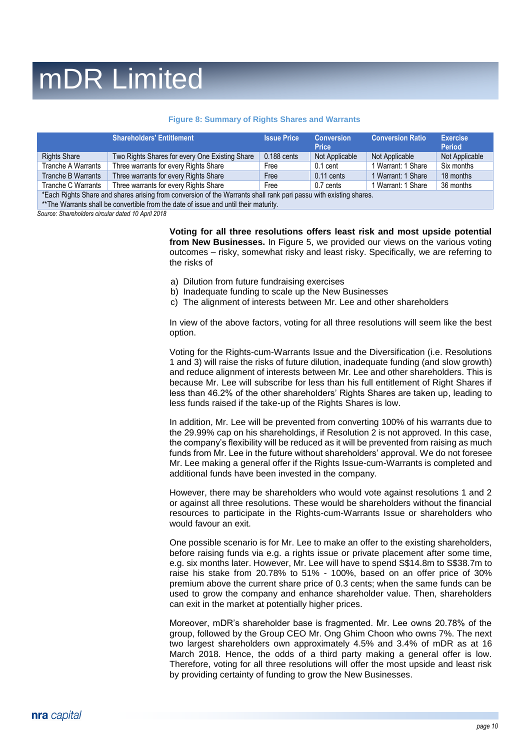#### **Figure 8: Summary of Rights Shares and Warrants**

|                                                                                                                   | <b>Shareholders' Entitlement</b>               | <b>Issue Price</b> | <b>Conversion</b><br><b>Price</b> | <b>Conversion Ratio</b> | <b>Exercise</b><br><b>Period</b> |
|-------------------------------------------------------------------------------------------------------------------|------------------------------------------------|--------------------|-----------------------------------|-------------------------|----------------------------------|
| <b>Rights Share</b>                                                                                               | Two Rights Shares for every One Existing Share | $0.188$ cents      | Not Applicable                    | Not Applicable          | Not Applicable                   |
| Tranche A Warrants                                                                                                | Three warrants for every Rights Share          | Free               | $0.1$ cent                        | 1 Warrant: 1 Share      | Six months                       |
| Tranche B Warrants                                                                                                | Three warrants for every Rights Share          | Free               | $0.11$ cents                      | 1 Warrant: 1 Share      | 18 months                        |
| Tranche C Warrants                                                                                                | Three warrants for every Rights Share          | Free               | 0.7 cents                         | 1 Warrant: 1 Share      | 36 months                        |
| *Each Rights Share and shares arising from conversion of the Warrants shall rank pari passu with existing shares. |                                                |                    |                                   |                         |                                  |

\*\*The Warrants shall be convertible from the date of issue and until their maturity.

*Source: Shareholders circular dated 10 April 2018*

**Voting for all three resolutions offers least risk and most upside potential from New Businesses.** In Figure 5, we provided our views on the various voting outcomes – risky, somewhat risky and least risky. Specifically, we are referring to the risks of

- a) Dilution from future fundraising exercises
- b) Inadequate funding to scale up the New Businesses
- c) The alignment of interests between Mr. Lee and other shareholders

In view of the above factors, voting for all three resolutions will seem like the best option.

Voting for the Rights-cum-Warrants Issue and the Diversification (i.e. Resolutions 1 and 3) will raise the risks of future dilution, inadequate funding (and slow growth) and reduce alignment of interests between Mr. Lee and other shareholders. This is because Mr. Lee will subscribe for less than his full entitlement of Right Shares if less than 46.2% of the other shareholders' Rights Shares are taken up, leading to less funds raised if the take-up of the Rights Shares is low.

In addition, Mr. Lee will be prevented from converting 100% of his warrants due to the 29.99% cap on his shareholdings, if Resolution 2 is not approved. In this case, the company's flexibility will be reduced as it will be prevented from raising as much funds from Mr. Lee in the future without shareholders' approval. We do not foresee Mr. Lee making a general offer if the Rights Issue-cum-Warrants is completed and additional funds have been invested in the company.

However, there may be shareholders who would vote against resolutions 1 and 2 or against all three resolutions. These would be shareholders without the financial resources to participate in the Rights-cum-Warrants Issue or shareholders who would favour an exit.

One possible scenario is for Mr. Lee to make an offer to the existing shareholders, before raising funds via e.g. a rights issue or private placement after some time, e.g. six months later. However, Mr. Lee will have to spend S\$14.8m to S\$38.7m to raise his stake from 20.78% to 51% - 100%, based on an offer price of 30% premium above the current share price of 0.3 cents; when the same funds can be used to grow the company and enhance shareholder value. Then, shareholders can exit in the market at potentially higher prices.

Moreover, mDR's shareholder base is fragmented. Mr. Lee owns 20.78% of the group, followed by the Group CEO Mr. Ong Ghim Choon who owns 7%. The next two largest shareholders own approximately 4.5% and 3.4% of mDR as at 16 March 2018. Hence, the odds of a third party making a general offer is low. Therefore, voting for all three resolutions will offer the most upside and least risk by providing certainty of funding to grow the New Businesses.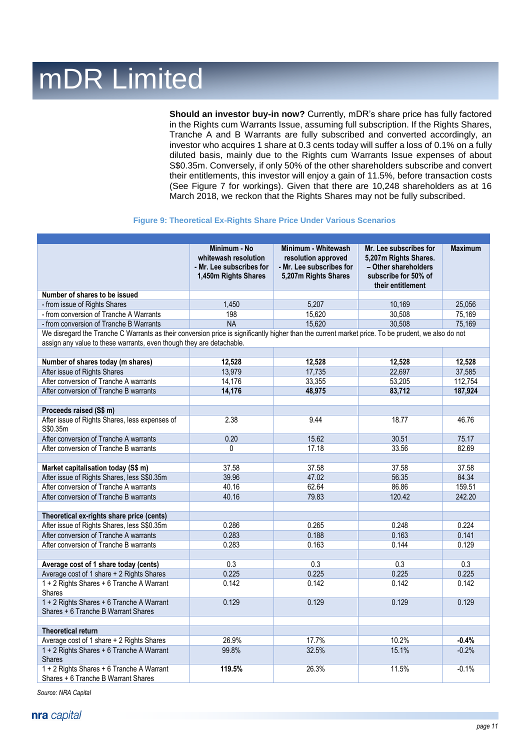**Should an investor buy-in now?** Currently, mDR's share price has fully factored in the Rights cum Warrants Issue, assuming full subscription. If the Rights Shares, Tranche A and B Warrants are fully subscribed and converted accordingly, an investor who acquires 1 share at 0.3 cents today will suffer a loss of 0.1% on a fully diluted basis, mainly due to the Rights cum Warrants Issue expenses of about S\$0.35m. Conversely, if only 50% of the other shareholders subscribe and convert their entitlements, this investor will enjoy a gain of 11.5%, before transaction costs (See Figure 7 for workings). Given that there are 10,248 shareholders as at 16 March 2018, we reckon that the Rights Shares may not be fully subscribed.

#### **Figure 9: Theoretical Ex-Rights Share Price Under Various Scenarios**

|                                                                                                                                                    | Minimum - No<br>whitewash resolution<br>- Mr. Lee subscribes for<br>1,450m Rights Shares | Minimum - Whitewash<br>resolution approved<br>- Mr. Lee subscribes for<br>5,207m Rights Shares | Mr. Lee subscribes for<br>5,207m Rights Shares.<br>- Other shareholders<br>subscribe for 50% of<br>their entitlement | <b>Maximum</b> |
|----------------------------------------------------------------------------------------------------------------------------------------------------|------------------------------------------------------------------------------------------|------------------------------------------------------------------------------------------------|----------------------------------------------------------------------------------------------------------------------|----------------|
| Number of shares to be issued                                                                                                                      |                                                                                          |                                                                                                |                                                                                                                      |                |
| - from issue of Rights Shares                                                                                                                      | 1,450                                                                                    | 5,207                                                                                          | 10,169                                                                                                               | 25,056         |
| - from conversion of Tranche A Warrants                                                                                                            | 198                                                                                      | 15,620                                                                                         | 30,508                                                                                                               | 75,169         |
| - from conversion of Tranche B Warrants                                                                                                            | <b>NA</b>                                                                                | 15,620                                                                                         | 30,508                                                                                                               | 75,169         |
| We disregard the Tranche C Warrants as their conversion price is significantly higher than the current market price. To be prudent, we also do not |                                                                                          |                                                                                                |                                                                                                                      |                |
| assign any value to these warrants, even though they are detachable.                                                                               |                                                                                          |                                                                                                |                                                                                                                      |                |
|                                                                                                                                                    |                                                                                          |                                                                                                |                                                                                                                      |                |
| Number of shares today (m shares)                                                                                                                  | 12,528                                                                                   | 12,528                                                                                         | 12,528                                                                                                               | 12,528         |
| After issue of Rights Shares                                                                                                                       | 13,979                                                                                   | 17,735                                                                                         | 22,697                                                                                                               | 37,585         |
| After conversion of Tranche A warrants                                                                                                             | 14,176                                                                                   | 33,355                                                                                         | 53,205                                                                                                               | 112,754        |
| After conversion of Tranche B warrants                                                                                                             | 14,176                                                                                   | 48,975                                                                                         | 83,712                                                                                                               | 187,924        |
|                                                                                                                                                    |                                                                                          |                                                                                                |                                                                                                                      |                |
| Proceeds raised (S\$ m)                                                                                                                            |                                                                                          |                                                                                                |                                                                                                                      |                |
| After issue of Rights Shares, less expenses of<br>S\$0.35m                                                                                         | 2.38                                                                                     | 9.44                                                                                           | 18.77                                                                                                                | 46.76          |
| After conversion of Tranche A warrants                                                                                                             | 0.20                                                                                     | 15.62                                                                                          | 30.51                                                                                                                | 75.17          |
| After conversion of Tranche B warrants                                                                                                             | 0                                                                                        | 17.18                                                                                          | 33.56                                                                                                                | 82.69          |
|                                                                                                                                                    |                                                                                          |                                                                                                |                                                                                                                      |                |
| Market capitalisation today (S\$ m)                                                                                                                | 37.58                                                                                    | 37.58                                                                                          | 37.58                                                                                                                | 37.58          |
| After issue of Rights Shares, less S\$0.35m                                                                                                        | 39.96                                                                                    | 47.02                                                                                          | 56.35                                                                                                                | 84.34          |
| After conversion of Tranche A warrants                                                                                                             | 40.16                                                                                    | 62.64                                                                                          | 86.86                                                                                                                | 159.51         |
| After conversion of Tranche B warrants                                                                                                             | 40.16                                                                                    | 79.83                                                                                          | 120.42                                                                                                               | 242.20         |
|                                                                                                                                                    |                                                                                          |                                                                                                |                                                                                                                      |                |
| Theoretical ex-rights share price (cents)                                                                                                          |                                                                                          |                                                                                                |                                                                                                                      |                |
| After issue of Rights Shares, less S\$0.35m                                                                                                        | 0.286                                                                                    | 0.265                                                                                          | 0.248                                                                                                                | 0.224          |
| After conversion of Tranche A warrants                                                                                                             | 0.283                                                                                    | 0.188                                                                                          | 0.163                                                                                                                | 0.141          |
| After conversion of Tranche B warrants                                                                                                             | 0.283                                                                                    | 0.163                                                                                          | 0.144                                                                                                                | 0.129          |
| Average cost of 1 share today (cents)                                                                                                              | 0.3                                                                                      | 0.3                                                                                            | 0.3                                                                                                                  | 0.3            |
| Average cost of 1 share + 2 Rights Shares                                                                                                          | 0.225                                                                                    | 0.225                                                                                          | 0.225                                                                                                                | 0.225          |
| 1 + 2 Rights Shares + 6 Tranche A Warrant                                                                                                          | 0.142                                                                                    | 0.142                                                                                          | 0.142                                                                                                                | 0.142          |
| <b>Shares</b>                                                                                                                                      |                                                                                          |                                                                                                |                                                                                                                      |                |
| 1 + 2 Rights Shares + 6 Tranche A Warrant                                                                                                          | 0.129                                                                                    | 0.129                                                                                          | 0.129                                                                                                                | 0.129          |
| Shares + 6 Tranche B Warrant Shares                                                                                                                |                                                                                          |                                                                                                |                                                                                                                      |                |
|                                                                                                                                                    |                                                                                          |                                                                                                |                                                                                                                      |                |
| <b>Theoretical return</b>                                                                                                                          |                                                                                          |                                                                                                |                                                                                                                      |                |
| Average cost of 1 share + 2 Rights Shares                                                                                                          | 26.9%                                                                                    | 17.7%                                                                                          | 10.2%                                                                                                                | $-0.4%$        |
| 1 + 2 Rights Shares + 6 Tranche A Warrant<br><b>Shares</b>                                                                                         | 99.8%                                                                                    | 32.5%                                                                                          | 15.1%                                                                                                                | $-0.2%$        |
| 1 + 2 Rights Shares + 6 Tranche A Warrant<br>Shares + 6 Tranche B Warrant Shares                                                                   | 119.5%                                                                                   | 26.3%                                                                                          | 11.5%                                                                                                                | $-0.1%$        |

*Source: NRA Capital*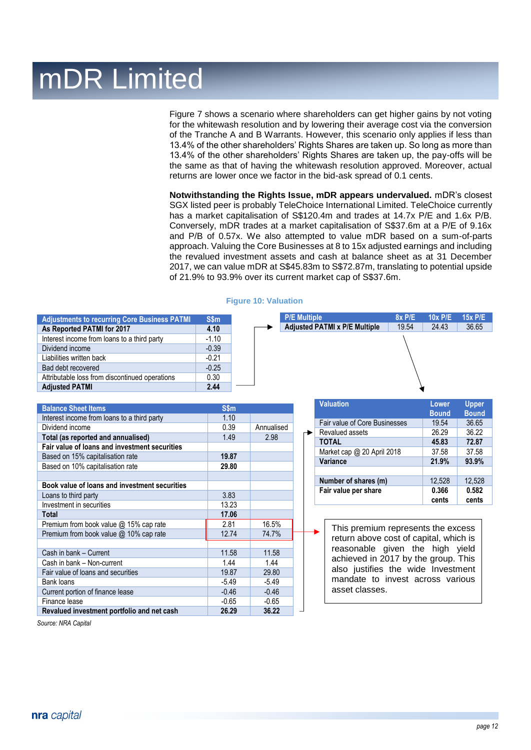Figure 7 shows a scenario where shareholders can get higher gains by not voting for the whitewash resolution and by lowering their average cost via the conversion of the Tranche A and B Warrants. However, this scenario only applies if less than 13.4% of the other shareholders' Rights Shares are taken up. So long as more than 13.4% of the other shareholders' Rights Shares are taken up, the pay-offs will be the same as that of having the whitewash resolution approved. Moreover, actual returns are lower once we factor in the bid-ask spread of 0.1 cents.

**Notwithstanding the Rights Issue, mDR appears undervalued.** mDR's closest SGX listed peer is probably TeleChoice International Limited. TeleChoice currently has a market capitalisation of S\$120.4m and trades at 14.7x P/E and 1.6x P/B. Conversely, mDR trades at a market capitalisation of S\$37.6m at a P/E of 9.16x and P/B of 0.57x. We also attempted to value mDR based on a sum-of-parts approach. Valuing the Core Businesses at 8 to 15x adjusted earnings and including the revalued investment assets and cash at balance sheet as at 31 December 2017, we can value mDR at S\$45.83m to S\$72.87m, translating to potential upside of 21.9% to 93.9% over its current market cap of S\$37.6m.

| <b>Adjustments to recurring Core Business PATMI</b> | <b>S\$m</b> |
|-----------------------------------------------------|-------------|
| As Reported PATMI for 2017                          | 4.10        |
| Interest income from loans to a third party         | $-1.10$     |
| Dividend income                                     | $-0.39$     |
| Liabilities written back                            | $-0.21$     |
| Bad debt recovered                                  | $-0.25$     |
| Attributable loss from discontinued operations      | 0.30        |
| <b>Adjusted PATMI</b>                               | 2.44        |

#### **Figure 10: Valuation**

| <b>P/E Multiple</b>                  | <b>8x P/E</b> | <b>10x P/E</b> | <b>15x P/E</b> |
|--------------------------------------|---------------|----------------|----------------|
| <b>Adjusted PATMI x P/E Multiple</b> | 19.54         | 24.43          | 36.65          |
|                                      |               |                |                |
|                                      |               |                |                |
|                                      |               |                |                |
|                                      |               |                |                |
|                                      |               |                |                |

| S\$m    |            |
|---------|------------|
| 1.10    |            |
| 0.39    | Annualised |
| 1.49    | 2.98       |
|         |            |
| 19.87   |            |
| 29.80   |            |
|         |            |
|         |            |
| 3.83    |            |
| 13.23   |            |
| 17.06   |            |
| 2.81    | 16.5%      |
| 12.74   | 74.7%      |
|         |            |
| 11.58   | 11.58      |
| 1.44    | 1.44       |
| 19.87   | 29.80      |
| $-5.49$ | $-5.49$    |
| $-0.46$ | $-0.46$    |
| $-0.65$ | $-0.65$    |
| 26.29   | 36.22      |
|         |            |

| <b>Valuation</b>              | Lower<br><b>Bound</b> | <b>Upper</b><br><b>Bound</b> |
|-------------------------------|-----------------------|------------------------------|
| Fair value of Core Businesses | 19.54                 | 36.65                        |
| Revalued assets               | 26.29                 | 36.22                        |
| <b>TOTAL</b>                  | 45.83                 | 72.87                        |
| Market cap @ 20 April 2018    | 37.58                 | 37.58                        |
| Variance                      | 21.9%                 | 93.9%                        |
|                               |                       |                              |
| Number of shares (m)          | 12,528                | 12,528                       |
| Fair value per share          | 0.366<br>cents        | 0.582<br>cents               |

This premium represents the excess return above cost of capital, which is reasonable given the high yield achieved in 2017 by the group. This also justifies the wide Investment mandate to invest across various asset classes.

*Source: NRA Capital*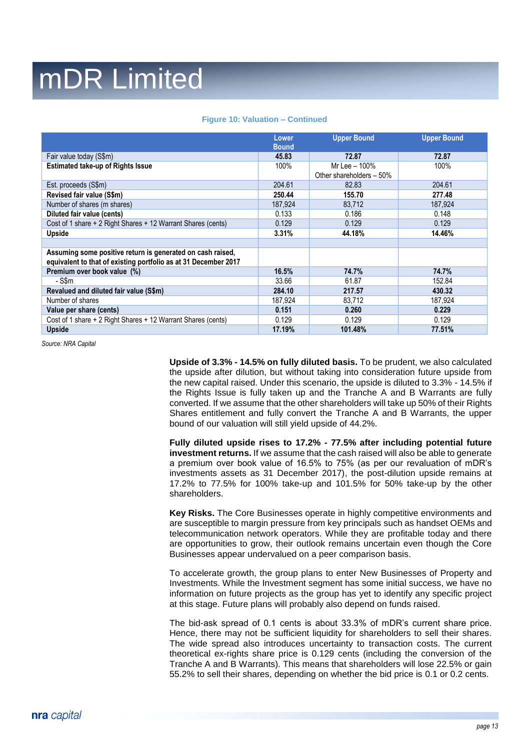|                                                                                                                               | Lower<br><b>Bound</b> | <b>Upper Bound</b>                        | <b>Upper Bound</b> |
|-------------------------------------------------------------------------------------------------------------------------------|-----------------------|-------------------------------------------|--------------------|
| Fair value today (S\$m)                                                                                                       | 45.83                 | 72.87                                     | 72.87              |
| <b>Estimated take-up of Rights Issue</b>                                                                                      | 100%                  | Mr Lee - 100%<br>Other shareholders - 50% | 100%               |
| Est. proceeds (S\$m)                                                                                                          | 204.61                | 82.83                                     | 204.61             |
| Revised fair value (S\$m)                                                                                                     | 250.44                | 155.70                                    | 277.48             |
| Number of shares (m shares)                                                                                                   | 187,924               | 83,712                                    | 187,924            |
| Diluted fair value (cents)                                                                                                    | 0.133                 | 0.186                                     | 0.148              |
| Cost of 1 share + 2 Right Shares + 12 Warrant Shares (cents)                                                                  | 0.129                 | 0.129                                     | 0.129              |
| <b>Upside</b>                                                                                                                 | 3.31%                 | 44.18%                                    | 14.46%             |
|                                                                                                                               |                       |                                           |                    |
| Assuming some positive return is generated on cash raised,<br>equivalent to that of existing portfolio as at 31 December 2017 |                       |                                           |                    |
| Premium over book value (%)                                                                                                   | 16.5%                 | 74.7%                                     | 74.7%              |
| - S\$m                                                                                                                        | 33.66                 | 61.87                                     | 152.84             |
| Revalued and diluted fair value (S\$m)                                                                                        | 284.10                | 217.57                                    | 430.32             |
| Number of shares                                                                                                              | 187,924               | 83.712                                    | 187,924            |
| Value per share (cents)                                                                                                       | 0.151                 | 0.260                                     | 0.229              |
| Cost of 1 share + 2 Right Shares + 12 Warrant Shares (cents)                                                                  | 0.129                 | 0.129                                     | 0.129              |
| <b>Upside</b>                                                                                                                 | 17.19%                | 101.48%                                   | 77.51%             |

#### **Figure 10: Valuation – Continued**

*Source: NRA Capital*

**Upside of 3.3% - 14.5% on fully diluted basis.** To be prudent, we also calculated the upside after dilution, but without taking into consideration future upside from the new capital raised. Under this scenario, the upside is diluted to 3.3% - 14.5% if the Rights Issue is fully taken up and the Tranche A and B Warrants are fully converted. If we assume that the other shareholders will take up 50% of their Rights Shares entitlement and fully convert the Tranche A and B Warrants, the upper bound of our valuation will still yield upside of 44.2%.

**Fully diluted upside rises to 17.2% - 77.5% after including potential future investment returns.** If we assume that the cash raised will also be able to generate a premium over book value of 16.5% to 75% (as per our revaluation of mDR's investments assets as 31 December 2017), the post-dilution upside remains at 17.2% to 77.5% for 100% take-up and 101.5% for 50% take-up by the other shareholders.

**Key Risks.** The Core Businesses operate in highly competitive environments and are susceptible to margin pressure from key principals such as handset OEMs and telecommunication network operators. While they are profitable today and there are opportunities to grow, their outlook remains uncertain even though the Core Businesses appear undervalued on a peer comparison basis.

To accelerate growth, the group plans to enter New Businesses of Property and Investments. While the Investment segment has some initial success, we have no information on future projects as the group has yet to identify any specific project at this stage. Future plans will probably also depend on funds raised.

The bid-ask spread of 0.1 cents is about 33.3% of mDR's current share price. Hence, there may not be sufficient liquidity for shareholders to sell their shares. The wide spread also introduces uncertainty to transaction costs. The current theoretical ex-rights share price is 0.129 cents (including the conversion of the Tranche A and B Warrants). This means that shareholders will lose 22.5% or gain 55.2% to sell their shares, depending on whether the bid price is 0.1 or 0.2 cents.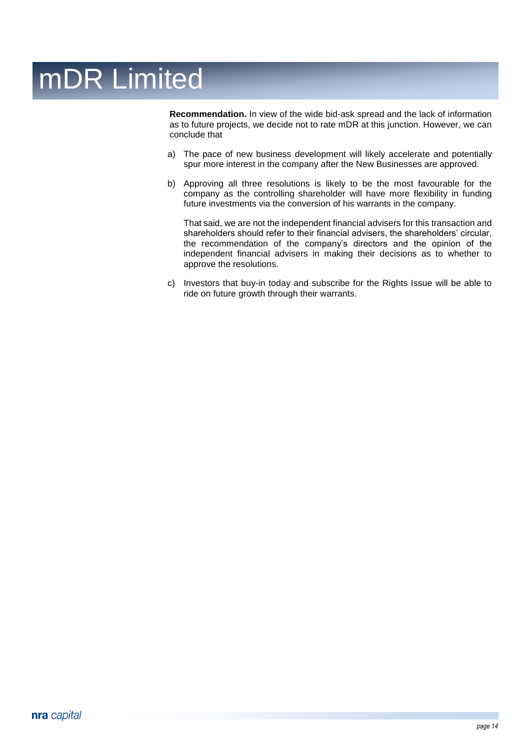**Recommendation.** In view of the wide bid-ask spread and the lack of information as to future projects, we decide not to rate mDR at this junction. However, we can conclude that

- a) The pace of new business development will likely accelerate and potentially spur more interest in the company after the New Businesses are approved.
- b) Approving all three resolutions is likely to be the most favourable for the company as the controlling shareholder will have more flexibility in funding future investments via the conversion of his warrants in the company.

That said, we are not the independent financial advisers for this transaction and shareholders should refer to their financial advisers, the shareholders' circular, the recommendation of the company's directors and the opinion of the independent financial advisers in making their decisions as to whether to approve the resolutions.

c) Investors that buy-in today and subscribe for the Rights Issue will be able to ride on future growth through their warrants.